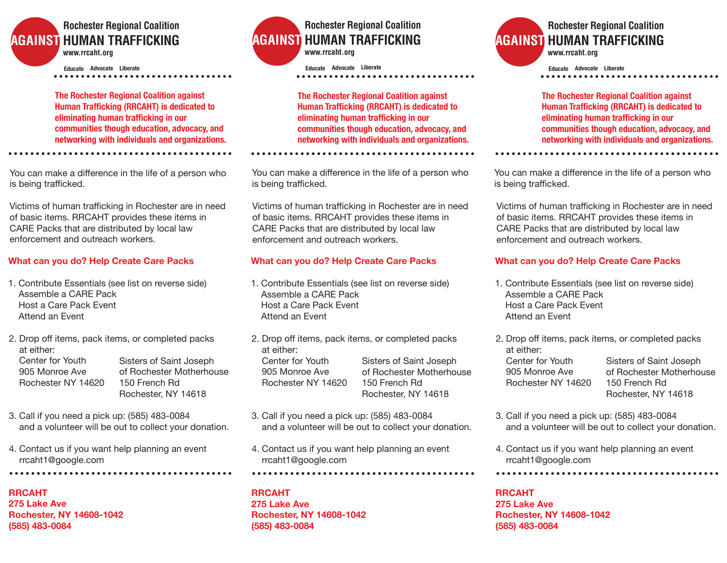# **Rochester Regional Coalition AGAINST HUMAN TRAFFICKING www .rrcaht.org**

**Advocate Liberate Educate**

**The Rochester Regional Coalition against Human Trafficking (RRCAHT) is dedicated to eliminating human trafficking in our communities though education, advocacy, and networking with individuals and organizations.**

You can make a difference in the life of a person who<br>is boing trafficked is being trafficked.

Victims of human trafficking in Rochester are in need of basic items. RRCAHT provides these items in CARE Packs that are distributed by local law enforcement and outreach workers.

## **What can you do? Help Create Care Packs**

- 1. Contribute Essentials (see list on reverse side) Assemble a CARE Pack Host a Care Pack Event Attend an Event
- 2. Drop off items, pack items, or completed packs at either: Center for Youth 905 Monroe Ave Rochester NY 14620 Sisters of Saint Joseph of Rochester Motherhouse 150 French Rd Rochester, NY 14618
- 3. Call if you need a pick up: (585) 483-0084 and a volunteer will be out to collect your donation.
- 4. Contact us if you want help planning an event rrcaht1@google.com

**RRCAHT**

**275 Lake Ave Rochester, NY 14608-1042 (585) 483-0084**



**Advocate Liberate Educate**

**The Rochester Regional Coalition against Human Trafficking (RRCAHT) is dedicated to eliminating human trafficking in our communities though education, advocacy, and networking with individuals and organizations.**

You can make a difference in the life of a person who<br>is being trafficked is being trafficked.

Victims of human trafficking in Rochester are in need of basic items. RRCAHT provides these items in CARE Packs that are distributed by local law enforcement and outreach workers.

## **What can you do? Help Create Care Packs**

- 1. Contribute Essentials (see list on reverse side) Assemble a CARE Pack Host a Care Pack Event Attend an Event
- 2. Drop off items, pack items, or completed packs at either: Center for Youth 905 Monroe Ave Rochester NY 14620 Sisters of Saint Joseph of Rochester Motherhouse 150 French Rd Rochester, NY 14618
- 3. Call if you need a pick up: (585) 483-0084 and a volunteer will be out to collect your donation.
- 4. Contact us if you want help planning an event rrcaht1@google.com

# **RRCAHT**

**275 Lake Ave Rochester, NY 14608-1042 (585) 483-0084**

# **Rochester Regional Coalition AGAINST HUMAN TRAFFICKING www .rrcaht.org**

**Advocate Liberate Educate**

**The Rochester Regional Coalition against Human Trafficking (RRCAHT) is dedicated to eliminating human trafficking in our communities though education, advocacy, and networking with individuals and organizations.**

You can make a difference in the life of a person who<br>is being trafficked is being trafficked.

Victims of human trafficking in Rochester are in need of basic items. RRCAHT provides these items in CARE Packs that are distributed by local law enforcement and outreach workers.

# **What can you do? Help Create Care Packs**

- 1. Contribute Essentials (see list on reverse side) Assemble a CARE Pack Host a Care Pack Event Attend an Event
- 2. Drop off items, pack items, or completed packs at either: Center for Youth 905 Monroe Ave Rochester NY 14620 Sisters of Saint Joseph of Rochester Motherhouse 150 French Rd Rochester, NY 14618
- 3. Call if you need a pick up: (585) 483-0084 and a volunteer will be out to collect your donation.
- 4. Contact us if you want help planning an event rrcaht1@google.com

**RRCAHT 275 Lake Ave Rochester, NY 14608-1042 (585) 483-0084**